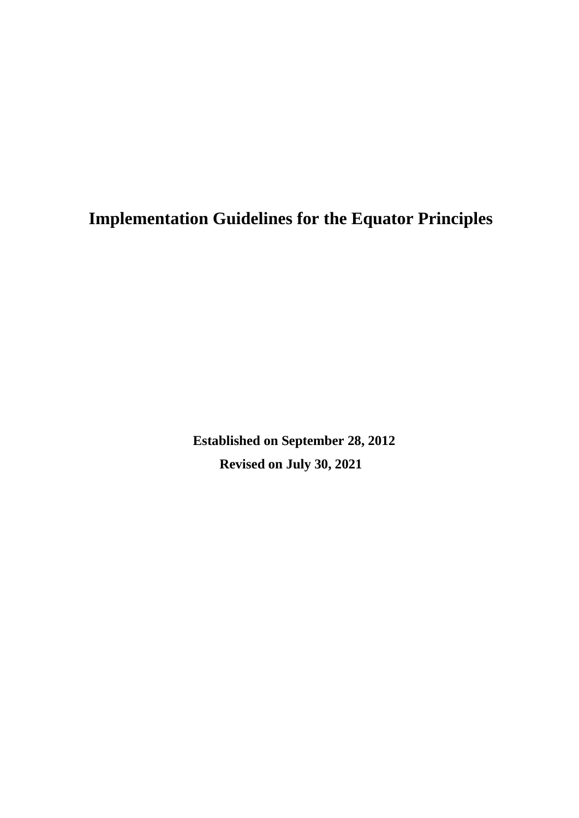**Implementation Guidelines for the Equator Principles**

**Established on September 28, 2012 Revised on July 30, 2021**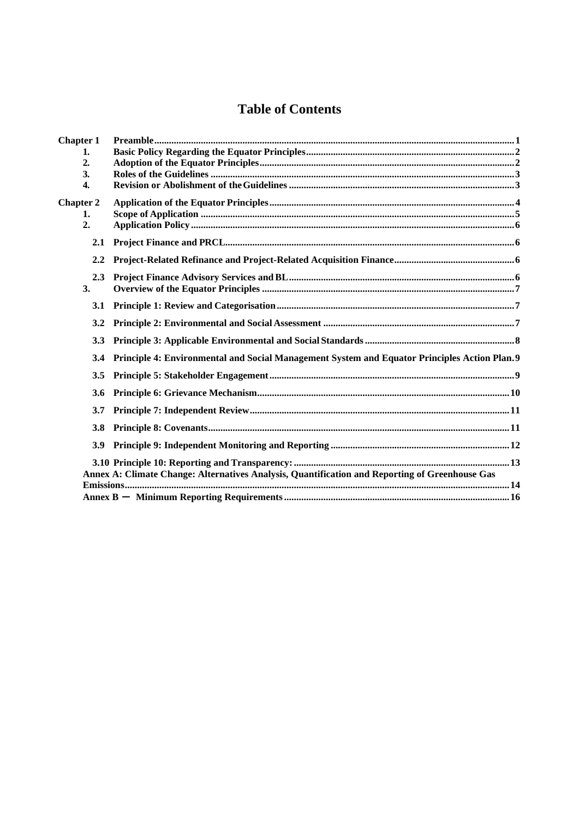# **Table of Contents**

| <b>Chapter 1</b> |                                                                                                |
|------------------|------------------------------------------------------------------------------------------------|
| 1.               |                                                                                                |
| 2.               |                                                                                                |
| 3.               |                                                                                                |
| 4.               |                                                                                                |
| <b>Chapter 2</b> |                                                                                                |
| 1.               |                                                                                                |
| 2.               |                                                                                                |
| 2.1              |                                                                                                |
| 2.2              |                                                                                                |
| 2.3              |                                                                                                |
| 3.               |                                                                                                |
| 3.1              |                                                                                                |
| 3.2              |                                                                                                |
| <b>3.3</b>       |                                                                                                |
| 3.4              | Principle 4: Environmental and Social Management System and Equator Principles Action Plan. 9  |
| 3.5              |                                                                                                |
| 3.6              |                                                                                                |
| 3.7              |                                                                                                |
| 3.8              |                                                                                                |
| 3.9              |                                                                                                |
|                  | Annex A: Climate Change: Alternatives Analysis, Quantification and Reporting of Greenhouse Gas |
|                  |                                                                                                |
|                  |                                                                                                |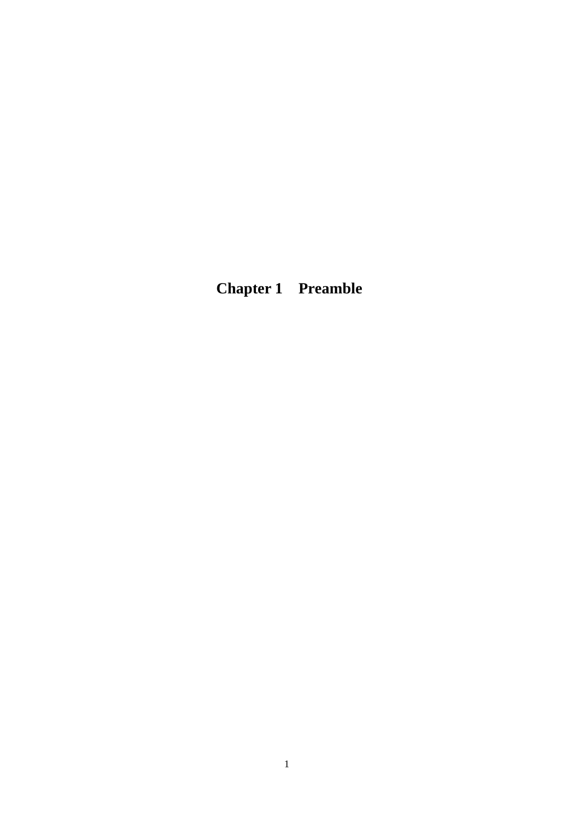<span id="page-2-0"></span>**Chapter 1 Preamble**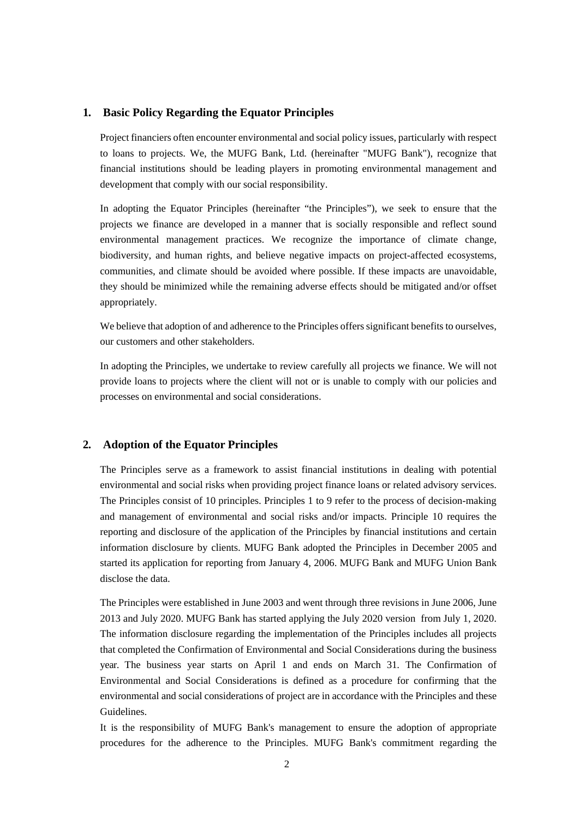#### <span id="page-3-0"></span>**1. Basic Policy Regarding the Equator Principles**

Project financiers often encounter environmental and social policy issues, particularly with respect to loans to projects. We, the MUFG Bank, Ltd. (hereinafter "MUFG Bank"), recognize that financial institutions should be leading players in promoting environmental management and development that comply with our social responsibility.

In adopting the Equator Principles (hereinafter "the Principles"), we seek to ensure that the projects we finance are developed in a manner that is socially responsible and reflect sound environmental management practices. We recognize the importance of climate change, biodiversity, and human rights, and believe negative impacts on project-affected ecosystems, communities, and climate should be avoided where possible. If these impacts are unavoidable, they should be minimized while the remaining adverse effects should be mitigated and/or offset appropriately.

We believe that adoption of and adherence to the Principles offers significant benefits to ourselves, our customers and other stakeholders.

In adopting the Principles, we undertake to review carefully all projects we finance. We will not provide loans to projects where the client will not or is unable to comply with our policies and processes on environmental and social considerations.

# <span id="page-3-1"></span>**2. Adoption of the Equator Principles**

The Principles serve as a framework to assist financial institutions in dealing with potential environmental and social risks when providing project finance loans or related advisory services. The Principles consist of 10 principles. Principles 1 to 9 refer to the process of decision-making and management of environmental and social risks and/or impacts. Principle 10 requires the reporting and disclosure of the application of the Principles by financial institutions and certain information disclosure by clients. MUFG Bank adopted the Principles in December 2005 and started its application for reporting from January 4, 2006. MUFG Bank and MUFG Union Bank disclose the data.

The Principles were established in June 2003 and went through three revisions in June 2006, June 2013 and July 2020. MUFG Bank has started applying the July 2020 version from July 1, 2020. The information disclosure regarding the implementation of the Principles includes all projects that completed the Confirmation of Environmental and Social Considerations during the business year. The business year starts on April 1 and ends on March 31. The Confirmation of Environmental and Social Considerations is defined as a procedure for confirming that the environmental and social considerations of project are in accordance with the Principles and these Guidelines.

It is the responsibility of MUFG Bank's management to ensure the adoption of appropriate procedures for the adherence to the Principles. MUFG Bank's commitment regarding the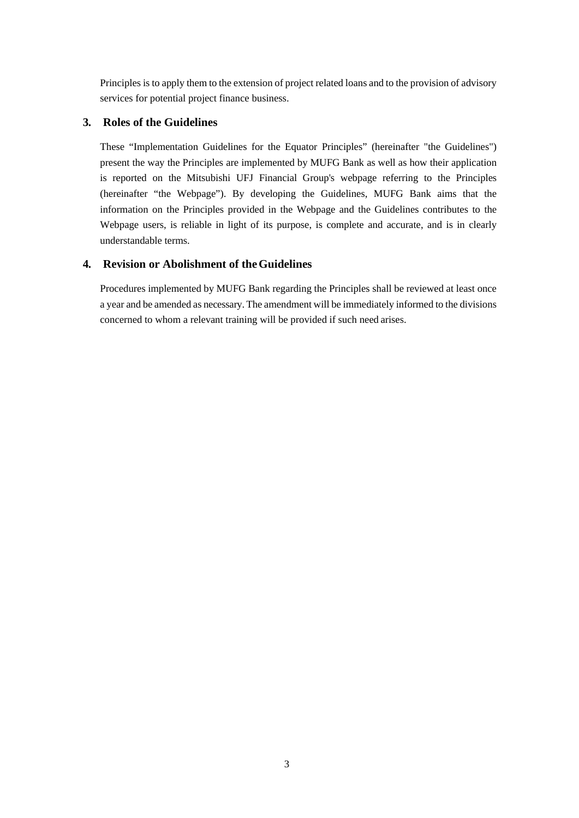Principles is to apply them to the extension of project related loans and to the provision of advisory services for potential project finance business.

# <span id="page-4-0"></span>**3. Roles of the Guidelines**

These "Implementation Guidelines for the Equator Principles" (hereinafter "the Guidelines") present the way the Principles are implemented by MUFG Bank as well as how their application is reported on the Mitsubishi UFJ Financial Group's webpage referring to the Principles (hereinafter "the Webpage"). By developing the Guidelines, MUFG Bank aims that the information on the Principles provided in the Webpage and the Guidelines contributes to the Webpage users, is reliable in light of its purpose, is complete and accurate, and is in clearly understandable terms.

# <span id="page-4-1"></span>**4. Revision or Abolishment of theGuidelines**

Procedures implemented by MUFG Bank regarding the Principles shall be reviewed at least once a year and be amended as necessary. The amendment will be immediately informed to the divisions concerned to whom a relevant training will be provided if such need arises.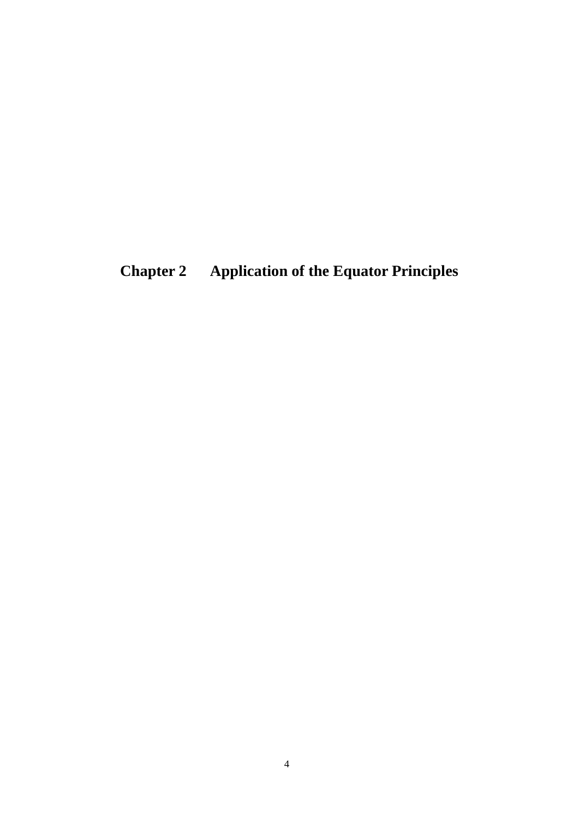<span id="page-5-0"></span>**Chapter 2 Application of the Equator Principles**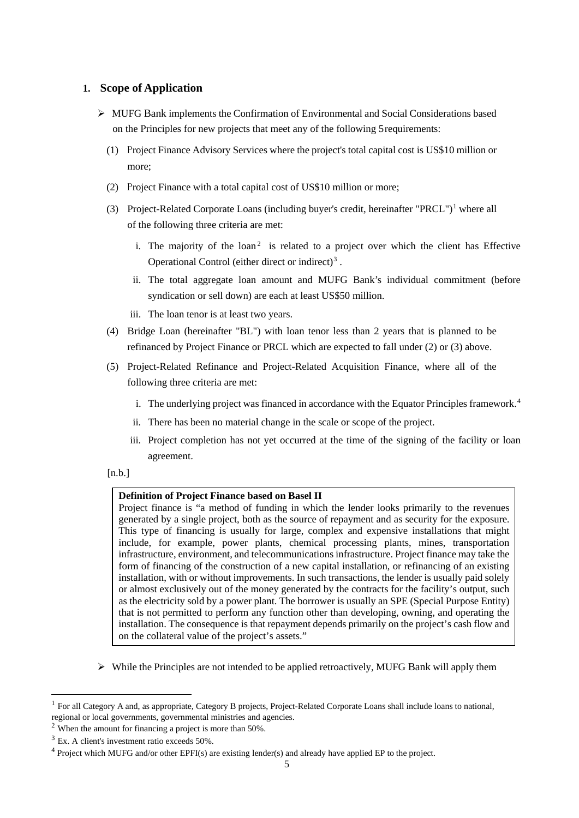# <span id="page-6-0"></span>**1. Scope of Application**

- $\triangleright$  MUFG Bank implements the Confirmation of Environmental and Social Considerations based on the Principles for new projects that meet any of the following 5 requirements:
	- (1) Project Finance Advisory Services where the project's total capital cost is US\$10 million or more;
	- (2) Project Finance with a total capital cost of US\$10 million or more;
	- (3) Project-Related Corporate Loans (including buyer's credit, hereinafter "PRCL")<sup>[1](#page-6-1)</sup> where all of the following three criteria are met:
		- i. The majority of the  $\text{loan}^2$  $\text{loan}^2$  is related to a project over which the client has Effective Operational Control (either direct or indirect)[3](#page-6-3) .
		- ii. The total aggregate loan amount and MUFG Bank's individual commitment (before syndication or sell down) are each at least US\$50 million.
		- iii. The loan tenor is at least two years.
	- (4) Bridge Loan (hereinafter "BL") with loan tenor less than 2 years that is planned to be refinanced by Project Finance or PRCL which are expected to fall under (2) or (3) above.
	- (5) Project-Related Refinance and Project-Related Acquisition Finance, where all of the following three criteria are met:
		- i. The underlying project was financed in accordance with the Equator Principles framework.[4](#page-6-4)
		- ii. There has been no material change in the scale or scope of the project.
		- iii. Project completion has not yet occurred at the time of the signing of the facility or loan agreement.

#### $[n.b.]$

#### **Definition of Project Finance based on Basel II**

Project finance is "a method of funding in which the lender looks primarily to the revenues generated by a single project, both as the source of repayment and as security for the exposure. This type of financing is usually for large, complex and expensive installations that might include, for example, power plants, chemical processing plants, mines, transportation infrastructure, environment, and telecommunications infrastructure. Project finance may take the form of financing of the construction of a new capital installation, or refinancing of an existing installation, with or without improvements. In such transactions, the lender is usually paid solely or almost exclusively out of the money generated by the contracts for the facility's output, such as the electricity sold by a power plant. The borrower is usually an SPE (Special Purpose Entity) that is not permitted to perform any function other than developing, owning, and operating the installation. The consequence is that repayment depends primarily on the project's cash flow and on the collateral value of the project's assets."

 $\triangleright$  While the Principles are not intended to be applied retroactively, MUFG Bank will apply them

<span id="page-6-1"></span><sup>&</sup>lt;sup>1</sup> For all Category A and, as appropriate, Category B projects, Project-Related Corporate Loans shall include loans to national, regional or local governments, governmental ministries and agencies.

<span id="page-6-2"></span> $2$  When the amount for financing a project is more than 50%.

<span id="page-6-3"></span><sup>&</sup>lt;sup>3</sup> Ex. A client's investment ratio exceeds 50%.

<span id="page-6-4"></span><sup>4</sup> Project which MUFG and/or other EPFI(s) are existing lender(s) and already have applied EP to the project.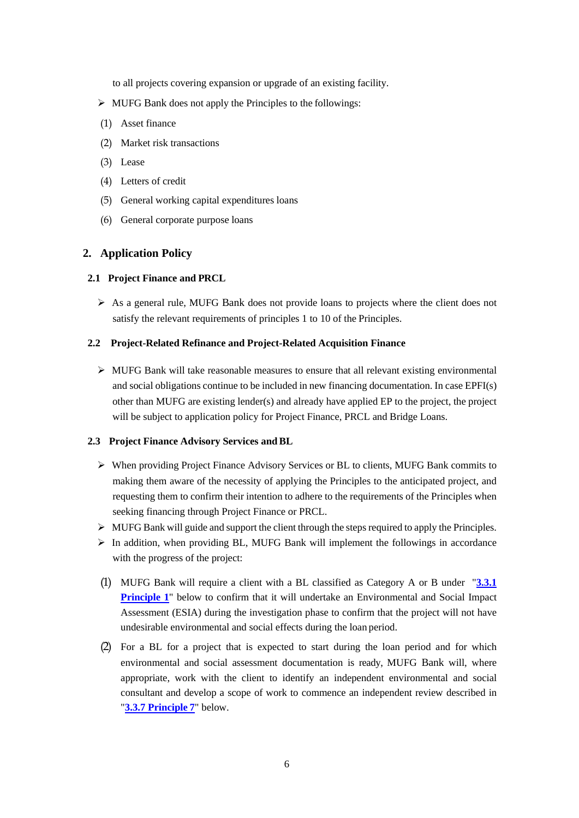to all projects covering expansion or upgrade of an existing facility.

- $\triangleright$  MUFG Bank does not apply the Principles to the followings:
- (1) Asset finance
- (2) Market risk transactions
- (3) Lease
- (4) Letters of credit
- (5) General working capital expenditures loans
- (6) General corporate purpose loans

#### <span id="page-7-0"></span>**2. Application Policy**

#### <span id="page-7-1"></span>**2.1 Project Finance and PRCL**

 As a general rule, MUFG Bank does not provide loans to projects where the client does not satisfy the relevant requirements of principles 1 to 10 of the Principles.

#### <span id="page-7-2"></span>**2.2 Project-Related Refinance and Project-Related Acquisition Finance**

 $\triangleright$  MUFG Bank will take reasonable measures to ensure that all relevant existing environmental and social obligations continue to be included in new financing documentation. In case EPFI(s) other than MUFG are existing lender(s) and already have applied EP to the project, the project will be subject to application policy for Project Finance, PRCL and Bridge Loans.

#### <span id="page-7-3"></span>**2.3 Project Finance Advisory Services andBL**

- When providing Project Finance Advisory Services or BL to clients, MUFG Bank commits to making them aware of the necessity of applying the Principles to the anticipated project, and requesting them to confirm their intention to adhere to the requirements of the Principles when seeking financing through Project Finance or PRCL.
- $\triangleright$  MUFG Bank will guide and support the client through the steps required to apply the Principles.
- $\triangleright$  In addition, when providing BL, MUFG Bank will implement the followings in accordance with the progress of the project:
- (1) MUFG Bank will require a client with a BL classified as Category A or B under "**3.3.1 Principle 1**" below to confirm that it will undertake an Environmental and Social Impact Assessment (ESIA) during the investigation phase to confirm that the project will not have undesirable environmental and social effects during the loan period.
- (2) For a BL for a project that is expected to start during the loan period and for which environmental and social assessment documentation is ready, MUFG Bank will, where appropriate, work with the client to identify an independent environmental and social consultant and develop a scope of work to commence an independent review described in "**[3.3.7 Principle](#page-12-0) 7**" below.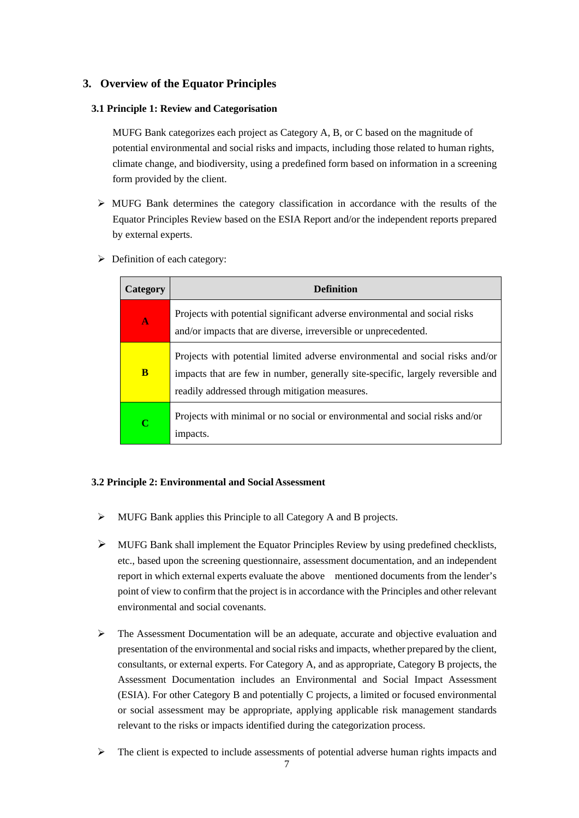# <span id="page-8-0"></span>**3. Overview of the Equator Principles**

#### <span id="page-8-1"></span>**3.1 Principle 1: Review and Categorisation**

MUFG Bank categorizes each project as Category A, B, or C based on the magnitude of potential environmental and social risks and impacts, including those related to human rights, climate change, and biodiversity, using a predefined form based on information in a screening form provided by the client.

- $\triangleright$  MUFG Bank determines the category classification in accordance with the results of the Equator Principles Review based on the ESIA Report and/or the independent reports prepared by external experts.
- $\triangleright$  Definition of each category:

| Category     | <b>Definition</b>                                                                                                                                                                                                  |
|--------------|--------------------------------------------------------------------------------------------------------------------------------------------------------------------------------------------------------------------|
| $\mathbf{A}$ | Projects with potential significant adverse environmental and social risks<br>and/or impacts that are diverse, irreversible or unprecedented.                                                                      |
| B            | Projects with potential limited adverse environmental and social risks and/or<br>impacts that are few in number, generally site-specific, largely reversible and<br>readily addressed through mitigation measures. |
| $\mathbf C$  | Projects with minimal or no social or environmental and social risks and/or<br>impacts.                                                                                                                            |

#### <span id="page-8-2"></span>**3.2 Principle 2: Environmental and Social Assessment**

- MUFG Bank applies this Principle to all Category A and B projects.
- $\triangleright$  MUFG Bank shall implement the Equator Principles Review by using predefined checklists, etc., based upon the screening questionnaire, assessment documentation, and an independent report in which external experts evaluate the above mentioned documents from the lender's point of view to confirm that the project is in accordance with the Principles and other relevant environmental and social covenants.
- $\triangleright$  The Assessment Documentation will be an adequate, accurate and objective evaluation and presentation of the environmental and social risks and impacts, whether prepared by the client, consultants, or external experts. For Category A, and as appropriate, Category B projects, the Assessment Documentation includes an Environmental and Social Impact Assessment (ESIA). For other Category B and potentially C projects, a limited or focused environmental or social assessment may be appropriate, applying applicable risk management standards relevant to the risks or impacts identified during the categorization process.
- $\triangleright$  The client is expected to include assessments of potential adverse human rights impacts and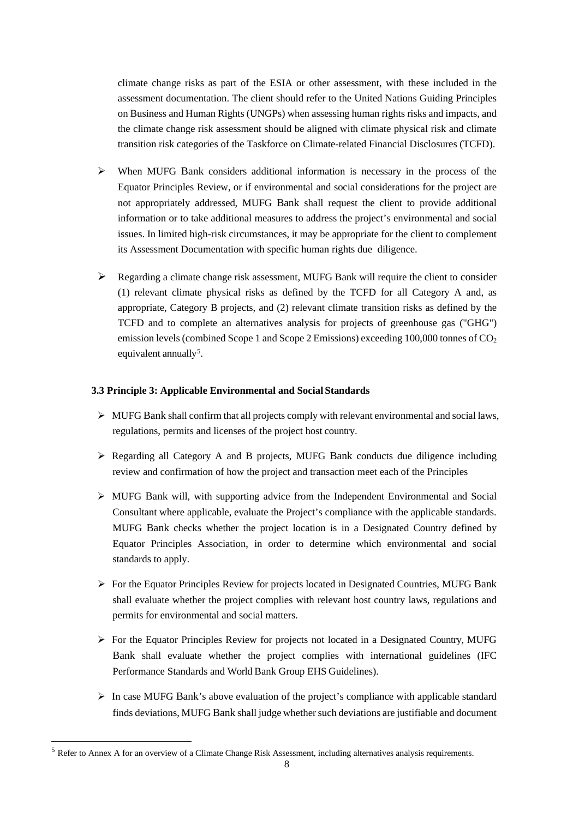climate change risks as part of the ESIA or other assessment, with these included in the assessment documentation. The client should refer to the United Nations Guiding Principles on Business and Human Rights (UNGPs) when assessing human rights risks and impacts, and the climate change risk assessment should be aligned with climate physical risk and climate transition risk categories of the Taskforce on Climate-related Financial Disclosures (TCFD).

- When MUFG Bank considers additional information is necessary in the process of the Equator Principles Review, or if environmental and social considerations for the project are not appropriately addressed, MUFG Bank shall request the client to provide additional information or to take additional measures to address the project's environmental and social issues. In limited high-risk circumstances, it may be appropriate for the client to complement its Assessment Documentation with specific human rights due diligence.
- $\triangleright$  Regarding a climate change risk assessment, MUFG Bank will require the client to consider (1) relevant climate physical risks as defined by the TCFD for all Category A and, as appropriate, Category B projects, and (2) relevant climate transition risks as defined by the TCFD and to complete an alternatives analysis for projects of greenhouse gas ("GHG") emission levels (combined Scope 1 and Scope 2 Emissions) exceeding  $100,000$  tonnes of  $CO<sub>2</sub>$ equivalent annually<sup>[5](#page-9-1)</sup>.

#### <span id="page-9-0"></span>**3.3 Principle 3: Applicable Environmental and Social Standards**

- $\triangleright$  MUFG Bank shall confirm that all projects comply with relevant environmental and social laws, regulations, permits and licenses of the project host country.
- $\triangleright$  Regarding all Category A and B projects, MUFG Bank conducts due diligence including review and confirmation of how the project and transaction meet each of the Principles
- $\triangleright$  MUFG Bank will, with supporting advice from the Independent Environmental and Social Consultant where applicable, evaluate the Project's compliance with the applicable standards. MUFG Bank checks whether the project location is in a Designated Country defined by Equator Principles Association, in order to determine which environmental and social standards to apply.
- $\triangleright$  For the Equator Principles Review for projects located in Designated Countries, MUFG Bank shall evaluate whether the project complies with relevant host country laws, regulations and permits for environmental and social matters.
- $\triangleright$  For the Equator Principles Review for projects not located in a Designated Country, MUFG Bank shall evaluate whether the project complies with international guidelines (IFC Performance Standards and World Bank Group EHS Guidelines).
- $\triangleright$  In case MUFG Bank's above evaluation of the project's compliance with applicable standard finds deviations, MUFG Bank shall judge whether such deviations are justifiable and document

<span id="page-9-1"></span> $<sup>5</sup>$  Refer to Annex A for an overview of a Climate Change Risk Assessment, including alternatives analysis requirements.</sup>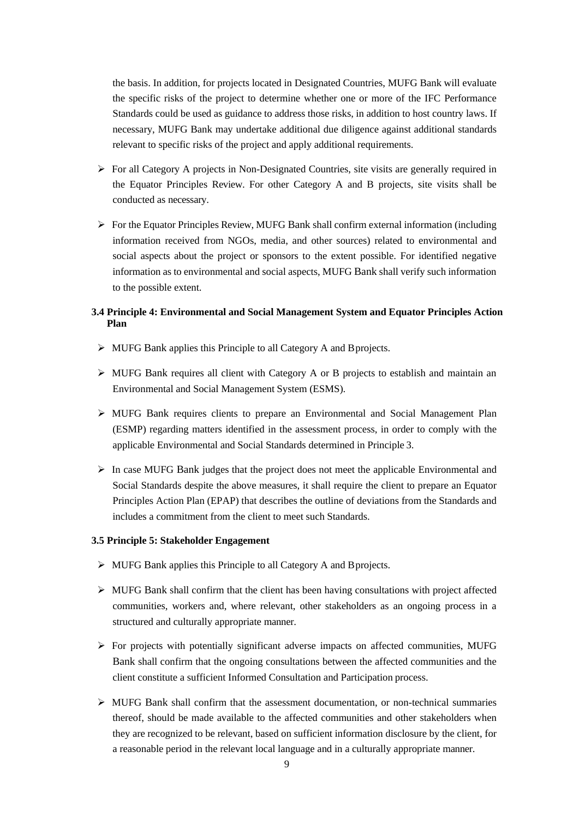the basis. In addition, for projects located in Designated Countries, MUFG Bank will evaluate the specific risks of the project to determine whether one or more of the IFC Performance Standards could be used as guidance to address those risks, in addition to host country laws. If necessary, MUFG Bank may undertake additional due diligence against additional standards relevant to specific risks of the project and apply additional requirements.

- $\triangleright$  For all Category A projects in Non-Designated Countries, site visits are generally required in the Equator Principles Review. For other Category A and B projects, site visits shall be conducted as necessary.
- $\triangleright$  For the Equator Principles Review, MUFG Bank shall confirm external information (including information received from NGOs, media, and other sources) related to environmental and social aspects about the project or sponsors to the extent possible. For identified negative information as to environmental and social aspects, MUFG Bank shall verify such information to the possible extent.

# <span id="page-10-0"></span>**3.4 Principle 4: Environmental and Social Management System and Equator Principles Action Plan**

- MUFG Bank applies this Principle to all Category A and Bprojects.
- $\triangleright$  MUFG Bank requires all client with Category A or B projects to establish and maintain an Environmental and Social Management System (ESMS).
- $\triangleright$  MUFG Bank requires clients to prepare an Environmental and Social Management Plan (ESMP) regarding matters identified in the assessment process, in order to comply with the applicable Environmental and Social Standards determined in Principle 3.
- $\triangleright$  In case MUFG Bank judges that the project does not meet the applicable Environmental and Social Standards despite the above measures, it shall require the client to prepare an Equator Principles Action Plan (EPAP) that describes the outline of deviations from the Standards and includes a commitment from the client to meet such Standards.

#### <span id="page-10-1"></span>**3.5 Principle 5: Stakeholder Engagement**

- MUFG Bank applies this Principle to all Category A and Bprojects.
- $\triangleright$  MUFG Bank shall confirm that the client has been having consultations with project affected communities, workers and, where relevant, other stakeholders as an ongoing process in a structured and culturally appropriate manner.
- $\triangleright$  For projects with potentially significant adverse impacts on affected communities, MUFG Bank shall confirm that the ongoing consultations between the affected communities and the client constitute a sufficient Informed Consultation and Participation process.
- $\triangleright$  MUFG Bank shall confirm that the assessment documentation, or non-technical summaries thereof, should be made available to the affected communities and other stakeholders when they are recognized to be relevant, based on sufficient information disclosure by the client, for a reasonable period in the relevant local language and in a culturally appropriate manner.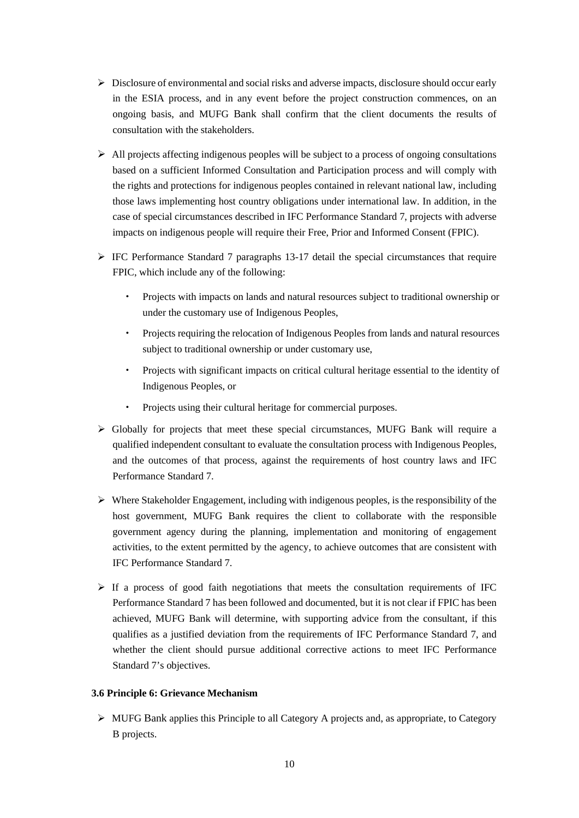- Disclosure of environmental and social risks and adverse impacts, disclosure should occur early in the ESIA process, and in any event before the project construction commences, on an ongoing basis, and MUFG Bank shall confirm that the client documents the results of consultation with the stakeholders.
- $\triangleright$  All projects affecting indigenous peoples will be subject to a process of ongoing consultations based on a sufficient Informed Consultation and Participation process and will comply with the rights and protections for indigenous peoples contained in relevant national law, including those laws implementing host country obligations under international law. In addition, in the case of special circumstances described in IFC Performance Standard 7, projects with adverse impacts on indigenous people will require their Free, Prior and Informed Consent (FPIC).
- $\triangleright$  IFC Performance Standard 7 paragraphs 13-17 detail the special circumstances that require FPIC, which include any of the following:
	- Projects with impacts on lands and natural resources subject to traditional ownership or under the customary use of Indigenous Peoples,
	- Projects requiring the relocation of Indigenous Peoples from lands and natural resources subject to traditional ownership or under customary use,
	- Projects with significant impacts on critical cultural heritage essential to the identity of Indigenous Peoples, or
	- Projects using their cultural heritage for commercial purposes.
- $\triangleright$  Globally for projects that meet these special circumstances, MUFG Bank will require a qualified independent consultant to evaluate the consultation process with Indigenous Peoples, and the outcomes of that process, against the requirements of host country laws and IFC Performance Standard 7.
- $\triangleright$  Where Stakeholder Engagement, including with indigenous peoples, is the responsibility of the host government, MUFG Bank requires the client to collaborate with the responsible government agency during the planning, implementation and monitoring of engagement activities, to the extent permitted by the agency, to achieve outcomes that are consistent with IFC Performance Standard 7.
- $\triangleright$  If a process of good faith negotiations that meets the consultation requirements of IFC Performance Standard 7 has been followed and documented, but it is not clear if FPIC has been achieved, MUFG Bank will determine, with supporting advice from the consultant, if this qualifies as a justified deviation from the requirements of IFC Performance Standard 7, and whether the client should pursue additional corrective actions to meet IFC Performance Standard 7's objectives.

#### <span id="page-11-0"></span>**3.6 Principle 6: Grievance Mechanism**

 $\triangleright$  MUFG Bank applies this Principle to all Category A projects and, as appropriate, to Category B projects.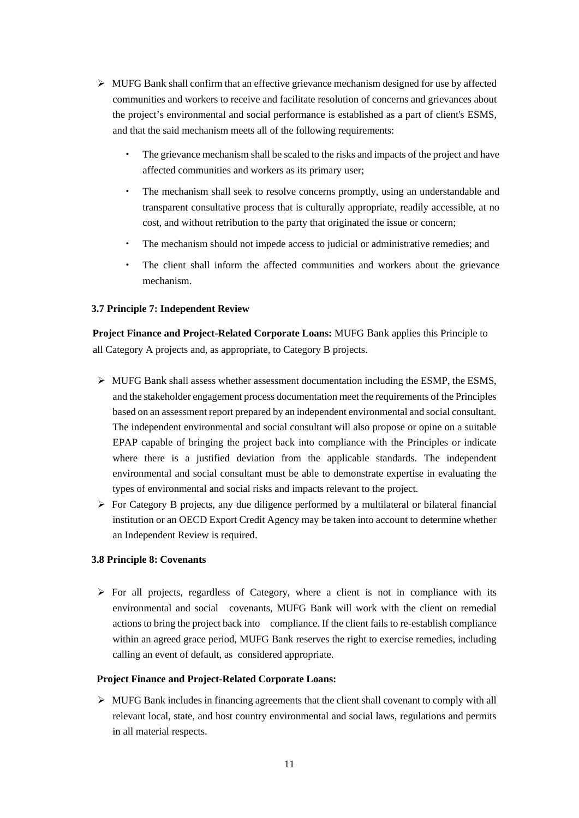- $\triangleright$  MUFG Bank shall confirm that an effective grievance mechanism designed for use by affected communities and workers to receive and facilitate resolution of concerns and grievances about the project's environmental and social performance is established as a part of client's ESMS, and that the said mechanism meets all of the following requirements:
	- The grievance mechanism shall be scaled to the risks and impacts of the project and have affected communities and workers as its primary user;
	- The mechanism shall seek to resolve concerns promptly, using an understandable and transparent consultative process that is culturally appropriate, readily accessible, at no cost, and without retribution to the party that originated the issue or concern;
	- The mechanism should not impede access to judicial or administrative remedies; and
	- The client shall inform the affected communities and workers about the grievance mechanism.

#### <span id="page-12-0"></span>**3.7 Principle 7: Independent Review**

**Project Finance and Project-Related Corporate Loans:** MUFG Bank applies this Principle to all Category A projects and, as appropriate, to Category B projects.

- $\triangleright$  MUFG Bank shall assess whether assessment documentation including the ESMP, the ESMS, and the stakeholder engagement process documentation meet the requirements of the Principles based on an assessment report prepared by an independent environmental and social consultant. The independent environmental and social consultant will also propose or opine on a suitable EPAP capable of bringing the project back into compliance with the Principles or indicate where there is a justified deviation from the applicable standards. The independent environmental and social consultant must be able to demonstrate expertise in evaluating the types of environmental and social risks and impacts relevant to the project.
- $\triangleright$  For Category B projects, any due diligence performed by a multilateral or bilateral financial institution or an OECD Export Credit Agency may be taken into account to determine whether an Independent Review is required.

#### <span id="page-12-1"></span>**3.8 Principle 8: Covenants**

 $\triangleright$  For all projects, regardless of Category, where a client is not in compliance with its environmental and social covenants, MUFG Bank will work with the client on remedial actions to bring the project back into compliance. If the client fails to re-establish compliance within an agreed grace period, MUFG Bank reserves the right to exercise remedies, including calling an event of default, as considered appropriate.

#### **Project Finance and Project-Related Corporate Loans:**

 $\triangleright$  MUFG Bank includes in financing agreements that the client shall covenant to comply with all relevant local, state, and host country environmental and social laws, regulations and permits in all material respects.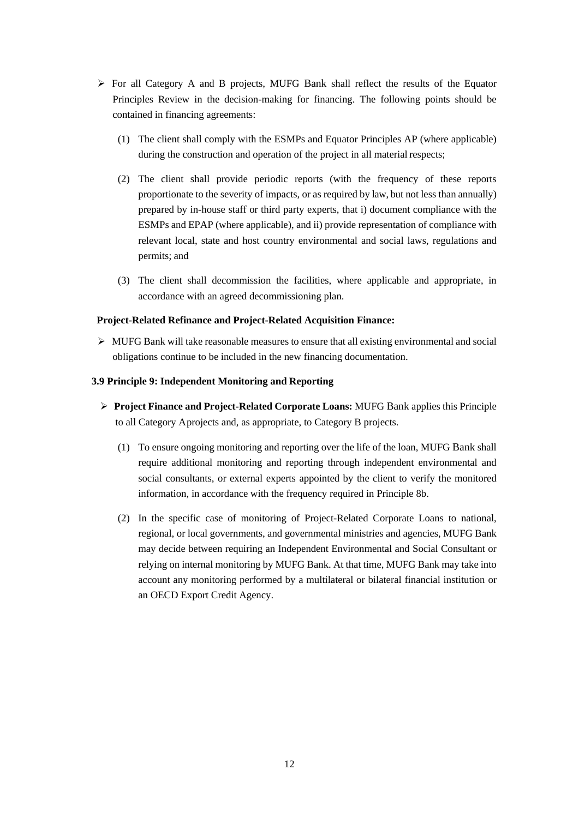- $\triangleright$  For all Category A and B projects, MUFG Bank shall reflect the results of the Equator Principles Review in the decision-making for financing. The following points should be contained in financing agreements:
	- (1) The client shall comply with the ESMPs and Equator Principles AP (where applicable) during the construction and operation of the project in all material respects;
	- (2) The client shall provide periodic reports (with the frequency of these reports proportionate to the severity of impacts, or as required by law, but not less than annually) prepared by in-house staff or third party experts, that i) document compliance with the ESMPs and EPAP (where applicable), and ii) provide representation of compliance with relevant local, state and host country environmental and social laws, regulations and permits; and
	- (3) The client shall decommission the facilities, where applicable and appropriate, in accordance with an agreed decommissioning plan.

#### **Project-Related Refinance and Project-Related Acquisition Finance:**

 $\triangleright$  MUFG Bank will take reasonable measures to ensure that all existing environmental and social obligations continue to be included in the new financing documentation.

#### <span id="page-13-0"></span>**3.9 Principle 9: Independent Monitoring and Reporting**

- **Project Finance and Project-Related Corporate Loans:** MUFG Bank applies this Principle to all Category Aprojects and, as appropriate, to Category B projects.
	- (1) To ensure ongoing monitoring and reporting over the life of the loan, MUFG Bank shall require additional monitoring and reporting through independent environmental and social consultants, or external experts appointed by the client to verify the monitored information, in accordance with the frequency required in Principle 8b.
	- (2) In the specific case of monitoring of Project-Related Corporate Loans to national, regional, or local governments, and governmental ministries and agencies, MUFG Bank may decide between requiring an Independent Environmental and Social Consultant or relying on internal monitoring by MUFG Bank. At that time, MUFG Bank may take into account any monitoring performed by a multilateral or bilateral financial institution or an OECD Export Credit Agency.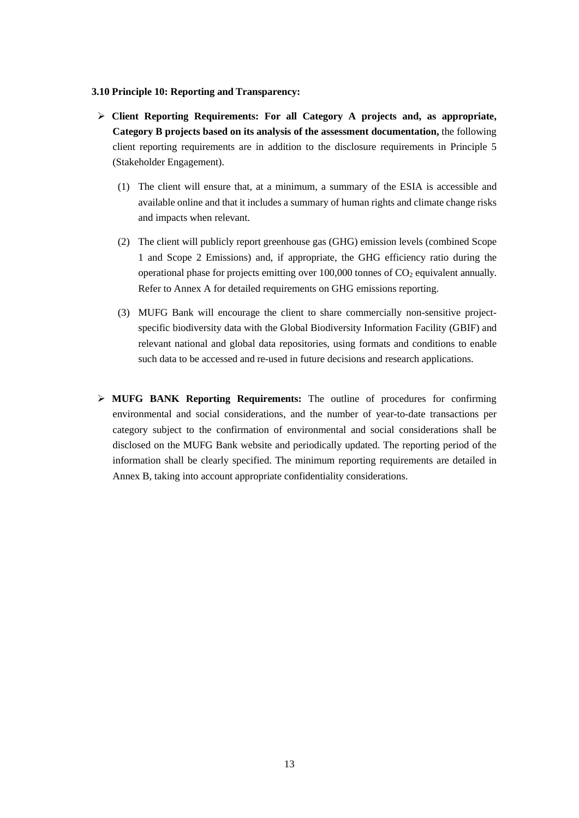#### <span id="page-14-0"></span>**3.10 Principle 10: Reporting and Transparency:**

- **Client Reporting Requirements: For all Category A projects and, as appropriate, Category B projects based on its analysis of the assessment documentation,** the following client reporting requirements are in addition to the disclosure requirements in Principle 5 (Stakeholder Engagement).
	- (1) The client will ensure that, at a minimum, a summary of the ESIA is accessible and available online and that it includes a summary of human rights and climate change risks and impacts when relevant.
	- (2) The client will publicly report greenhouse gas (GHG) emission levels (combined Scope 1 and Scope 2 Emissions) and, if appropriate, the GHG efficiency ratio during the operational phase for projects emitting over  $100,000$  tonnes of  $CO<sub>2</sub>$  equivalent annually. Refer to Annex A for detailed requirements on GHG emissions reporting.
	- (3) MUFG Bank will encourage the client to share commercially non-sensitive projectspecific biodiversity data with the Global Biodiversity Information Facility (GBIF) and relevant national and global data repositories, using formats and conditions to enable such data to be accessed and re-used in future decisions and research applications.
- **MUFG BANK Reporting Requirements:** The outline of procedures for confirming environmental and social considerations, and the number of year-to-date transactions per category subject to the confirmation of environmental and social considerations shall be disclosed on the MUFG Bank website and periodically updated. The reporting period of the information shall be clearly specified. The minimum reporting requirements are detailed in Annex B, taking into account appropriate confidentiality considerations.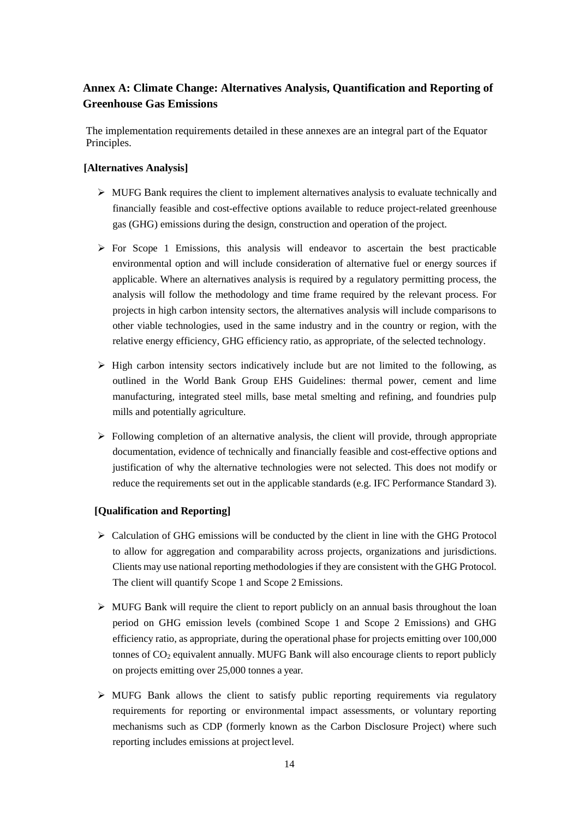# <span id="page-15-0"></span>**Annex A: Climate Change: Alternatives Analysis, Quantification and Reporting of Greenhouse Gas Emissions**

The implementation requirements detailed in these annexes are an integral part of the Equator Principles.

# **[Alternatives Analysis]**

- $\triangleright$  MUFG Bank requires the client to implement alternatives analysis to evaluate technically and financially feasible and cost-effective options available to reduce project-related greenhouse gas (GHG) emissions during the design, construction and operation of the project.
- $\triangleright$  For Scope 1 Emissions, this analysis will endeavor to ascertain the best practicable environmental option and will include consideration of alternative fuel or energy sources if applicable. Where an alternatives analysis is required by a regulatory permitting process, the analysis will follow the methodology and time frame required by the relevant process. For projects in high carbon intensity sectors, the alternatives analysis will include comparisons to other viable technologies, used in the same industry and in the country or region, with the relative energy efficiency, GHG efficiency ratio, as appropriate, of the selected technology.
- $\triangleright$  High carbon intensity sectors indicatively include but are not limited to the following, as outlined in the World Bank Group EHS Guidelines: thermal power, cement and lime manufacturing, integrated steel mills, base metal smelting and refining, and foundries pulp mills and potentially agriculture.
- $\triangleright$  Following completion of an alternative analysis, the client will provide, through appropriate documentation, evidence of technically and financially feasible and cost-effective options and justification of why the alternative technologies were not selected. This does not modify or reduce the requirements set out in the applicable standards (e.g. IFC Performance Standard 3).

#### **[Qualification and Reporting]**

- $\triangleright$  Calculation of GHG emissions will be conducted by the client in line with the GHG Protocol to allow for aggregation and comparability across projects, organizations and jurisdictions. Clients may use national reporting methodologies if they are consistent with the GHG Protocol. The client will quantify Scope 1 and Scope 2 Emissions.
- MUFG Bank will require the client to report publicly on an annual basis throughout the loan period on GHG emission levels (combined Scope 1 and Scope 2 Emissions) and GHG efficiency ratio, as appropriate, during the operational phase for projects emitting over 100,000 tonnes of  $CO<sub>2</sub>$  equivalent annually. MUFG Bank will also encourage clients to report publicly on projects emitting over 25,000 tonnes a year.
- $\triangleright$  MUFG Bank allows the client to satisfy public reporting requirements via regulatory requirements for reporting or environmental impact assessments, or voluntary reporting mechanisms such as CDP (formerly known as the Carbon Disclosure Project) where such reporting includes emissions at project level.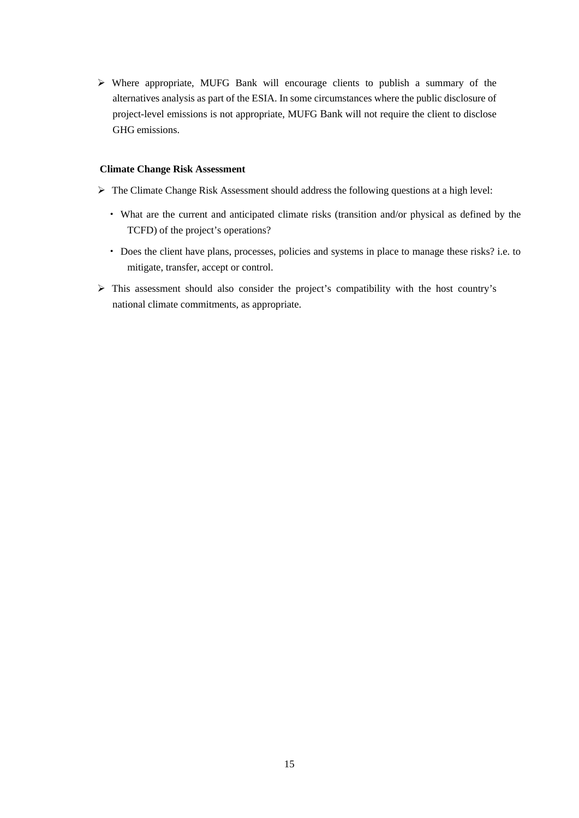Where appropriate, MUFG Bank will encourage clients to publish a summary of the alternatives analysis as part of the ESIA. In some circumstances where the public disclosure of project-level emissions is not appropriate, MUFG Bank will not require the client to disclose GHG emissions.

#### **Climate Change Risk Assessment**

- $\triangleright$  The Climate Change Risk Assessment should address the following questions at a high level:
	- What are the current and anticipated climate risks (transition and/or physical as defined by the TCFD) of the project's operations?
	- Does the client have plans, processes, policies and systems in place to manage these risks? i.e. to mitigate, transfer, accept or control.
- This assessment should also consider the project's compatibility with the host country's national climate commitments, as appropriate.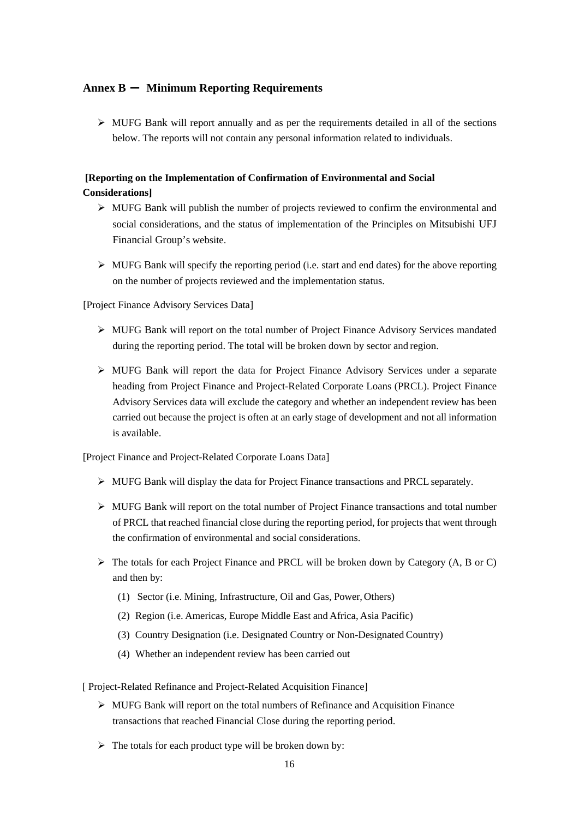# <span id="page-17-0"></span>**Annex B** - **Minimum Reporting Requirements**

 $\triangleright$  MUFG Bank will report annually and as per the requirements detailed in all of the sections below. The reports will not contain any personal information related to individuals.

# **[Reporting on the Implementation of Confirmation of Environmental and Social Considerations]**

- $\triangleright$  MUFG Bank will publish the number of projects reviewed to confirm the environmental and social considerations, and the status of implementation of the Principles on Mitsubishi UFJ Financial Group's website.
- $\triangleright$  MUFG Bank will specify the reporting period (i.e. start and end dates) for the above reporting on the number of projects reviewed and the implementation status.

[Project Finance Advisory Services Data]

- $\triangleright$  MUFG Bank will report on the total number of Project Finance Advisory Services mandated during the reporting period. The total will be broken down by sector and region.
- $\triangleright$  MUFG Bank will report the data for Project Finance Advisory Services under a separate heading from Project Finance and Project-Related Corporate Loans (PRCL). Project Finance Advisory Services data will exclude the category and whether an independent review has been carried out because the project is often at an early stage of development and not all information is available.

[Project Finance and Project-Related Corporate Loans Data]

- $\triangleright$  MUFG Bank will display the data for Project Finance transactions and PRCL separately.
- $\triangleright$  MUFG Bank will report on the total number of Project Finance transactions and total number of PRCL that reached financial close during the reporting period, for projects that went through the confirmation of environmental and social considerations.
- $\triangleright$  The totals for each Project Finance and PRCL will be broken down by Category (A, B or C) and then by:
	- (1) Sector (i.e. Mining, Infrastructure, Oil and Gas, Power, Others)
	- (2) Region (i.e. Americas, Europe Middle East and Africa, Asia Pacific)
	- (3) Country Designation (i.e. Designated Country or Non-Designated Country)
	- (4) Whether an independent review has been carried out

[ Project-Related Refinance and Project-Related Acquisition Finance]

- MUFG Bank will report on the total numbers of Refinance and Acquisition Finance transactions that reached Financial Close during the reporting period.
- $\triangleright$  The totals for each product type will be broken down by: